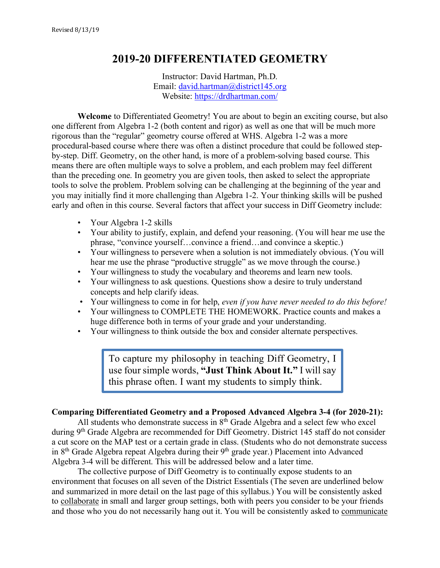# **2019-20 DIFFERENTIATED GEOMETRY**

Instructor: David Hartman, Ph.D. Email: david.hartman@district145.org Website: https://drdhartman.com/

**Welcome** to Differentiated Geometry! You are about to begin an exciting course, but also one different from Algebra 1-2 (both content and rigor) as well as one that will be much more rigorous than the "regular" geometry course offered at WHS. Algebra 1-2 was a more procedural-based course where there was often a distinct procedure that could be followed stepby-step. Diff. Geometry, on the other hand, is more of a problem-solving based course. This means there are often multiple ways to solve a problem, and each problem may feel different than the preceding one. In geometry you are given tools, then asked to select the appropriate tools to solve the problem. Problem solving can be challenging at the beginning of the year and you may initially find it more challenging than Algebra 1-2. Your thinking skills will be pushed early and often in this course. Several factors that affect your success in Diff Geometry include:

- Your Algebra 1-2 skills
- Your ability to justify, explain, and defend your reasoning. (You will hear me use the phrase, "convince yourself…convince a friend…and convince a skeptic.)
- Your willingness to persevere when a solution is not immediately obvious. (You will hear me use the phrase "productive struggle" as we move through the course.)
- Your willingness to study the vocabulary and theorems and learn new tools.
- Your willingness to ask questions. Questions show a desire to truly understand concepts and help clarify ideas.
- Your willingness to come in for help, *even if you have never needed to do this before!*
- Your willingness to COMPLETE THE HOMEWORK. Practice counts and makes a huge difference both in terms of your grade and your understanding.
- Your willingness to think outside the box and consider alternate perspectives.

To capture my philosophy in teaching Diff Geometry, I use four simple words, **"Just Think About It."** I will say this phrase often. I want my students to simply think.

#### **Comparing Differentiated Geometry and a Proposed Advanced Algebra 3-4 (for 2020-21):**

All students who demonstrate success in 8<sup>th</sup> Grade Algebra and a select few who excel during 9th Grade Algebra are recommended for Diff Geometry. District 145 staff do not consider a cut score on the MAP test or a certain grade in class. (Students who do not demonstrate success in  $8<sup>th</sup>$  Grade Algebra repeat Algebra during their  $9<sup>th</sup>$  grade year.) Placement into Advanced Algebra 3-4 will be different. This will be addressed below and a later time.

The collective purpose of Diff Geometry is to continually expose students to an environment that focuses on all seven of the District Essentials (The seven are underlined below and summarized in more detail on the last page of this syllabus.) You will be consistently asked to collaborate in small and larger group settings, both with peers you consider to be your friends and those who you do not necessarily hang out it. You will be consistently asked to communicate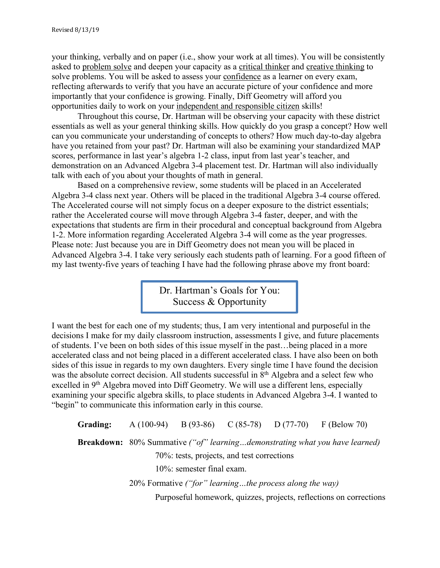your thinking, verbally and on paper (i.e., show your work at all times). You will be consistently asked to problem solve and deepen your capacity as a critical thinker and creative thinking to solve problems. You will be asked to assess your confidence as a learner on every exam, reflecting afterwards to verify that you have an accurate picture of your confidence and more importantly that your confidence is growing. Finally, Diff Geometry will afford you opportunities daily to work on your independent and responsible citizen skills!

Throughout this course, Dr. Hartman will be observing your capacity with these district essentials as well as your general thinking skills. How quickly do you grasp a concept? How well can you communicate your understanding of concepts to others? How much day-to-day algebra have you retained from your past? Dr. Hartman will also be examining your standardized MAP scores, performance in last year's algebra 1-2 class, input from last year's teacher, and demonstration on an Advanced Algebra 3-4 placement test. Dr. Hartman will also individually talk with each of you about your thoughts of math in general.

Based on a comprehensive review, some students will be placed in an Accelerated Algebra 3-4 class next year. Others will be placed in the traditional Algebra 3-4 course offered. The Accelerated course will not simply focus on a deeper exposure to the district essentials; rather the Accelerated course will move through Algebra 3-4 faster, deeper, and with the expectations that students are firm in their procedural and conceptual background from Algebra 1-2. More information regarding Accelerated Algebra 3-4 will come as the year progresses. Please note: Just because you are in Diff Geometry does not mean you will be placed in Advanced Algebra 3-4. I take very seriously each students path of learning. For a good fifteen of my last twenty-five years of teaching I have had the following phrase above my front board:

> Dr. Hartman's Goals for You: Success & Opportunity

I want the best for each one of my students; thus, I am very intentional and purposeful in the decisions I make for my daily classroom instruction, assessments I give, and future placements of students. I've been on both sides of this issue myself in the past…being placed in a more accelerated class and not being placed in a different accelerated class. I have also been on both sides of this issue in regards to my own daughters. Every single time I have found the decision was the absolute correct decision. All students successful in 8<sup>th</sup> Algebra and a select few who excelled in 9<sup>th</sup> Algebra moved into Diff Geometry. We will use a different lens, especially examining your specific algebra skills, to place students in Advanced Algebra 3-4. I wanted to "begin" to communicate this information early in this course.

**Grading:** A (100-94) B (93-86) C (85-78) D (77-70) F (Below 70) **Breakdown:** 80% Summative *("of" learning…demonstrating what you have learned)* 70%: tests, projects, and test corrections 10%: semester final exam. 20% Formative *("for" learning…the process along the way)* Purposeful homework, quizzes, projects, reflections on corrections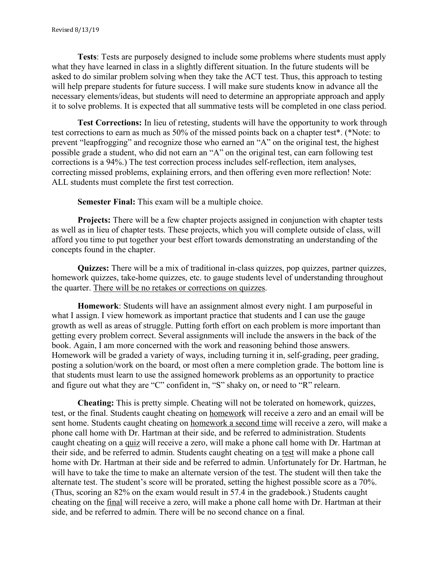**Tests**: Tests are purposely designed to include some problems where students must apply what they have learned in class in a slightly different situation. In the future students will be asked to do similar problem solving when they take the ACT test. Thus, this approach to testing will help prepare students for future success. I will make sure students know in advance all the necessary elements/ideas, but students will need to determine an appropriate approach and apply it to solve problems. It is expected that all summative tests will be completed in one class period.

**Test Corrections:** In lieu of retesting, students will have the opportunity to work through test corrections to earn as much as 50% of the missed points back on a chapter test\*. (\*Note: to prevent "leapfrogging" and recognize those who earned an "A" on the original test, the highest possible grade a student, who did not earn an "A" on the original test, can earn following test corrections is a 94%.) The test correction process includes self-reflection, item analyses, correcting missed problems, explaining errors, and then offering even more reflection! Note: ALL students must complete the first test correction.

**Semester Final:** This exam will be a multiple choice.

**Projects:** There will be a few chapter projects assigned in conjunction with chapter tests as well as in lieu of chapter tests. These projects, which you will complete outside of class, will afford you time to put together your best effort towards demonstrating an understanding of the concepts found in the chapter.

**Quizzes:** There will be a mix of traditional in-class quizzes, pop quizzes, partner quizzes, homework quizzes, take-home quizzes, etc. to gauge students level of understanding throughout the quarter. There will be no retakes or corrections on quizzes.

**Homework**: Students will have an assignment almost every night. I am purposeful in what I assign. I view homework as important practice that students and I can use the gauge growth as well as areas of struggle. Putting forth effort on each problem is more important than getting every problem correct. Several assignments will include the answers in the back of the book. Again, I am more concerned with the work and reasoning behind those answers. Homework will be graded a variety of ways, including turning it in, self-grading, peer grading, posting a solution/work on the board, or most often a mere completion grade. The bottom line is that students must learn to use the assigned homework problems as an opportunity to practice and figure out what they are "C" confident in, "S" shaky on, or need to "R" relearn.

**Cheating:** This is pretty simple. Cheating will not be tolerated on homework, quizzes, test, or the final. Students caught cheating on homework will receive a zero and an email will be sent home. Students caught cheating on homework a second time will receive a zero, will make a phone call home with Dr. Hartman at their side, and be referred to administration. Students caught cheating on a quiz will receive a zero, will make a phone call home with Dr. Hartman at their side, and be referred to admin. Students caught cheating on a test will make a phone call home with Dr. Hartman at their side and be referred to admin. Unfortunately for Dr. Hartman, he will have to take the time to make an alternate version of the test. The student will then take the alternate test. The student's score will be prorated, setting the highest possible score as a 70%. (Thus, scoring an 82% on the exam would result in 57.4 in the gradebook.) Students caught cheating on the final will receive a zero, will make a phone call home with Dr. Hartman at their side, and be referred to admin. There will be no second chance on a final.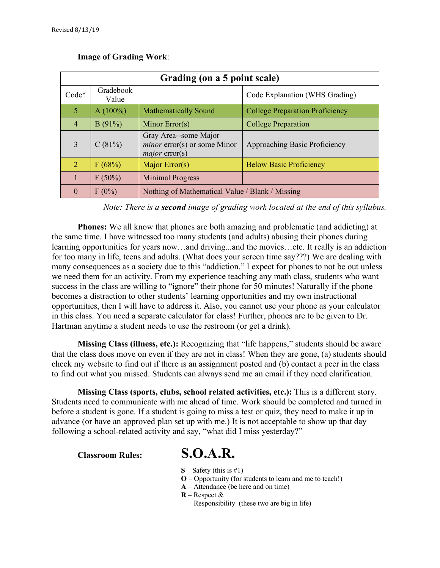| Grading (on a 5 point scale) |                    |                                                                                  |                                        |  |  |  |
|------------------------------|--------------------|----------------------------------------------------------------------------------|----------------------------------------|--|--|--|
| $Code*$                      | Gradebook<br>Value |                                                                                  | Code Explanation (WHS Grading)         |  |  |  |
| 5                            | $A(100\%)$         | <b>Mathematically Sound</b>                                                      | <b>College Preparation Proficiency</b> |  |  |  |
| $\overline{4}$               | B(91%)             | Minor Error(s)                                                                   | <b>College Preparation</b>             |  |  |  |
| 3                            | C(81%)             | Gray Area--some Major<br><i>minor</i> error(s) or some Minor<br>$major$ error(s) | Approaching Basic Proficiency          |  |  |  |
| $\overline{2}$               | F(68%)             | Major Error(s)                                                                   | <b>Below Basic Proficiency</b>         |  |  |  |
|                              | $F(50\%)$          | <b>Minimal Progress</b>                                                          |                                        |  |  |  |
| $\Omega$                     | $F(0\%)$           | Nothing of Mathematical Value / Blank / Missing                                  |                                        |  |  |  |

#### **Image of Grading Work**:

*Note: There is a second image of grading work located at the end of this syllabus.*

**Phones:** We all know that phones are both amazing and problematic (and addicting) at the same time. I have witnessed too many students (and adults) abusing their phones during learning opportunities for years now…and driving...and the movies…etc. It really is an addiction for too many in life, teens and adults. (What does your screen time say???) We are dealing with many consequences as a society due to this "addiction." I expect for phones to not be out unless we need them for an activity. From my experience teaching any math class, students who want success in the class are willing to "ignore" their phone for 50 minutes! Naturally if the phone becomes a distraction to other students' learning opportunities and my own instructional opportunities, then I will have to address it. Also, you cannot use your phone as your calculator in this class. You need a separate calculator for class! Further, phones are to be given to Dr. Hartman anytime a student needs to use the restroom (or get a drink).

**Missing Class (illness, etc.):** Recognizing that "life happens," students should be aware that the class does move on even if they are not in class! When they are gone, (a) students should check my website to find out if there is an assignment posted and (b) contact a peer in the class to find out what you missed. Students can always send me an email if they need clarification.

**Missing Class (sports, clubs, school related activities, etc.):** This is a different story. Students need to communicate with me ahead of time. Work should be completed and turned in before a student is gone. If a student is going to miss a test or quiz, they need to make it up in advance (or have an approved plan set up with me.) It is not acceptable to show up that day following a school-related activity and say, "what did I miss yesterday?"

# **Classroom Rules: S.O.A.R.**

- **S** Safety (this is #1)
- **O** Opportunity (for students to learn and me to teach!)
- **A** Attendance (be here and on time)
- **R** Respect & Responsibility (these two are big in life)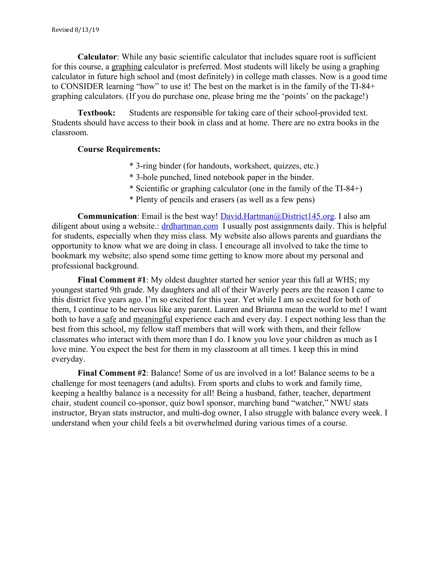**Calculator**: While any basic scientific calculator that includes square root is sufficient for this course, a graphing calculator is preferred. Most students will likely be using a graphing calculator in future high school and (most definitely) in college math classes. Now is a good time to CONSIDER learning "how" to use it! The best on the market is in the family of the TI-84+ graphing calculators. (If you do purchase one, please bring me the 'points' on the package!)

**Textbook:** Students are responsible for taking care of their school-provided text. Students should have access to their book in class and at home. There are no extra books in the classroom.

#### **Course Requirements:**

- \* 3-ring binder (for handouts, worksheet, quizzes, etc.)
- \* 3-hole punched, lined notebook paper in the binder.
- \* Scientific or graphing calculator (one in the family of the TI-84+)
- \* Plenty of pencils and erasers (as well as a few pens)

**Communication**: Email is the best way! David.Hartman@District145.org. I also am diligent about using a website.: drdhartman.com I usually post assignments daily. This is helpful for students, especially when they miss class. My website also allows parents and guardians the opportunity to know what we are doing in class. I encourage all involved to take the time to bookmark my website; also spend some time getting to know more about my personal and professional background.

**Final Comment #1**: My oldest daughter started her senior year this fall at WHS; my youngest started 9th grade. My daughters and all of their Waverly peers are the reason I came to this district five years ago. I'm so excited for this year. Yet while I am so excited for both of them, I continue to be nervous like any parent. Lauren and Brianna mean the world to me! I want both to have a safe and meaningful experience each and every day. I expect nothing less than the best from this school, my fellow staff members that will work with them, and their fellow classmates who interact with them more than I do. I know you love your children as much as I love mine. You expect the best for them in my classroom at all times. I keep this in mind everyday.

**Final Comment #2**: Balance! Some of us are involved in a lot! Balance seems to be a challenge for most teenagers (and adults). From sports and clubs to work and family time, keeping a healthy balance is a necessity for all! Being a husband, father, teacher, department chair, student council co-sponsor, quiz bowl sponsor, marching band "watcher," NWU stats instructor, Bryan stats instructor, and multi-dog owner, I also struggle with balance every week. I understand when your child feels a bit overwhelmed during various times of a course.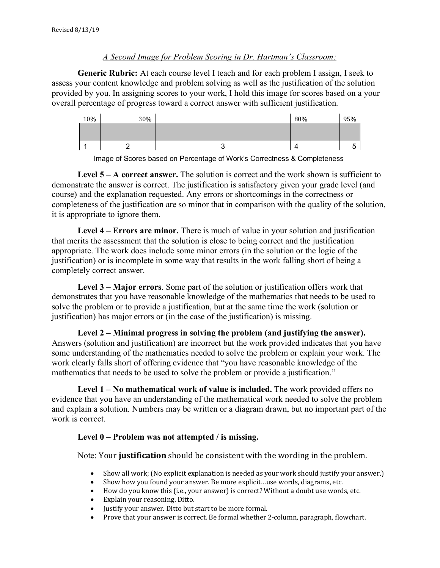#### *A Second Image for Problem Scoring in Dr. Hartman's Classroom:*

**Generic Rubric:** At each course level I teach and for each problem I assign, I seek to assess your content knowledge and problem solving as well as the justification of the solution provided by you. In assigning scores to your work, I hold this image for scores based on a your overall percentage of progress toward a correct answer with sufficient justification.





**Level 5 – A correct answer.** The solution is correct and the work shown is sufficient to demonstrate the answer is correct. The justification is satisfactory given your grade level (and course) and the explanation requested. Any errors or shortcomings in the correctness or completeness of the justification are so minor that in comparison with the quality of the solution, it is appropriate to ignore them.

**Level 4 – Errors are minor.** There is much of value in your solution and justification that merits the assessment that the solution is close to being correct and the justification appropriate. The work does include some minor errors (in the solution or the logic of the justification) or is incomplete in some way that results in the work falling short of being a completely correct answer.

**Level 3 – Major errors**. Some part of the solution or justification offers work that demonstrates that you have reasonable knowledge of the mathematics that needs to be used to solve the problem or to provide a justification, but at the same time the work (solution or justification) has major errors or (in the case of the justification) is missing.

**Level 2 – Minimal progress in solving the problem (and justifying the answer).**  Answers (solution and justification) are incorrect but the work provided indicates that you have some understanding of the mathematics needed to solve the problem or explain your work. The work clearly falls short of offering evidence that "you have reasonable knowledge of the mathematics that needs to be used to solve the problem or provide a justification."

**Level 1 – No mathematical work of value is included.** The work provided offers no evidence that you have an understanding of the mathematical work needed to solve the problem and explain a solution. Numbers may be written or a diagram drawn, but no important part of the work is correct.

#### **Level 0 – Problem was not attempted / is missing.**

Note: Your **justification** should be consistent with the wording in the problem.

- Show all work; (No explicit explanation is needed as your work should justify your answer.)
- Show how you found your answer. Be more explicit...use words, diagrams, etc.
- How do you know this (i.e., your answer) is correct? Without a doubt use words, etc.
- Explain your reasoning. Ditto.
- Justify your answer. Ditto but start to be more formal.
- Prove that your answer is correct. Be formal whether 2-column, paragraph, flowchart.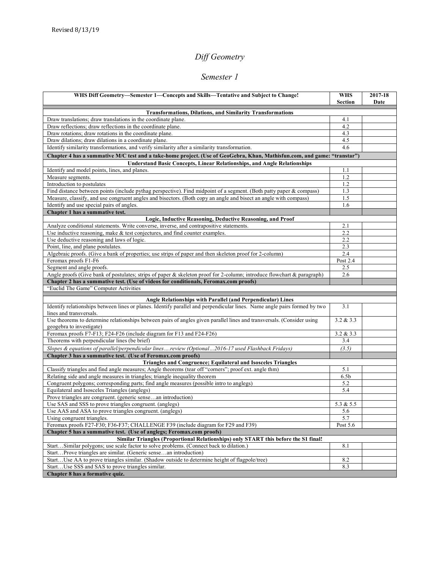# *Diff Geometry*

#### *Semester 1*

| WHS Diff Geometry-Semester 1-Concepts and Skills-Tentative and Subject to Change!                                            | <b>WHS</b> | 2017-18 |  |  |  |
|------------------------------------------------------------------------------------------------------------------------------|------------|---------|--|--|--|
|                                                                                                                              | Section    | Date    |  |  |  |
| <b>Transformations, Dilations, and Similarity Transformations</b>                                                            |            |         |  |  |  |
| Draw translations; draw translations in the coordinate plane.                                                                | 4.1        |         |  |  |  |
| Draw reflections; draw reflections in the coordinate plane.                                                                  | 4.2        |         |  |  |  |
| Draw rotations; draw rotations in the coordinate plane.                                                                      | 4.3        |         |  |  |  |
| Draw dilations; draw dilations in a coordinate plane.                                                                        | 4.5        |         |  |  |  |
| Identify similarity transformations, and verify similarity after a similarity transformation.                                | 4.6        |         |  |  |  |
| Chapter 4 has a summative M/C test and a take-home project. (Use of GeoGebra, Khan, Mathisfun.com, and game: "transtar")     |            |         |  |  |  |
| <b>Understand Basic Concepts, Linear Relationships, and Angle Relationships</b>                                              |            |         |  |  |  |
| Identify and model points, lines, and planes.                                                                                | 1.1        |         |  |  |  |
| Measure segments.                                                                                                            | 1.2        |         |  |  |  |
| Introduction to postulates                                                                                                   | 1.2        |         |  |  |  |
| Find distance between points (include pythag perspective). Find midpoint of a segment. (Both patty paper & compass)          | 1.3        |         |  |  |  |
| Measure, classify, and use congruent angles and bisectors. (Both copy an angle and bisect an angle with compass)             | 1.5        |         |  |  |  |
| Identify and use special pairs of angles.                                                                                    | 1.6        |         |  |  |  |
| Chapter 1 has a summative test.                                                                                              |            |         |  |  |  |
| Logic, Inductive Reasoning, Deductive Reasoning, and Proof                                                                   |            |         |  |  |  |
| Analyze conditional statements. Write converse, inverse, and contrapositive statements.                                      | 2.1        |         |  |  |  |
| Use inductive reasoning, make $&$ test conjectures, and find counter examples.                                               | 2.2        |         |  |  |  |
| Use deductive reasoning and laws of logic.                                                                                   | 2.2        |         |  |  |  |
| Point, line, and plane postulates.                                                                                           | 2.3        |         |  |  |  |
| Algebraic proofs. (Give a bank of properties; use strips of paper and then skeleton proof for 2-column)                      | 2.4        |         |  |  |  |
| Feromax proofs F1-F6                                                                                                         | Post 2.4   |         |  |  |  |
| Segment and angle proofs.                                                                                                    | 2.5        |         |  |  |  |
| Angle proofs (Give bank of postulates; strips of paper $\&$ skeleton proof for 2-column; introduce flowchart $\&$ paragraph) | 2.6        |         |  |  |  |
| Chapter 2 has a summative test. (Use of videos for conditionals, Feromax.com proofs)                                         |            |         |  |  |  |
| "Euclid The Game" Computer Activities                                                                                        |            |         |  |  |  |
| Angle Relationships with Parallel (and Perpendicular) Lines                                                                  |            |         |  |  |  |
| Identify relationships between lines or planes. Identify parallel and perpendicular lines. Name angle pairs formed by two    | 3.1        |         |  |  |  |
| lines and transversals.                                                                                                      |            |         |  |  |  |
| Use theorems to determine relationships between pairs of angles given parallel lines and transversals. (Consider using       | 3.2 & 3.3  |         |  |  |  |
| geogebra to investigate)                                                                                                     |            |         |  |  |  |
| Feromax proofs F7-F13; F24-F26 (include diagram for F13 and F24-F26)                                                         | 3.2 & 3.3  |         |  |  |  |
| Theorems with perpendicular lines (be brief)                                                                                 | 3.4        |         |  |  |  |
| Slopes & equations of parallel/perpendicular linesreview (Optional2016-17 used Flashback Fridays)                            | (3.5)      |         |  |  |  |
| Chapter 3 has a summative test. (Use of Feromax.com proofs)                                                                  |            |         |  |  |  |
| Triangles and Congruence; Equilateral and Isosceles Triangles                                                                |            |         |  |  |  |
| Classify triangles and find angle measures; Angle theorems (tear off "corners"; proof ext. angle thm)                        | 5.1        |         |  |  |  |
| Relating side and angle measures in triangles; triangle inequality theorem                                                   | 6.5b       |         |  |  |  |
| Congruent polygons; corresponding parts; find angle measures (possible intro to anglegs)                                     | 5.2        |         |  |  |  |
| Equilateral and Isosceles Triangles (anglegs)                                                                                | 5.4        |         |  |  |  |
| Prove triangles are congruent. (generic sensean introduction)                                                                |            |         |  |  |  |
| Use SAS and SSS to prove triangles congruent. (anglegs)                                                                      | 5.3 & 5.5  |         |  |  |  |
| Use AAS and ASA to prove triangles congruent. (anglegs)                                                                      | 5.6        |         |  |  |  |
| Using congruent triangles.                                                                                                   | 5.7        |         |  |  |  |
| Feromax proofs F27-F30; F36-F37; CHALLENGE F39 (include diagram for F29 and F39)                                             | Post 5.6   |         |  |  |  |
| Chapter 5 has a summative test. (Use of anglegs; Feromax.com proofs)                                                         |            |         |  |  |  |
| Similar Triangles (Proportional Relationships) only START this before the S1 final!                                          |            |         |  |  |  |
| StartSimilar polygons; use scale factor to solve problems. (Connect back to dilation.)                                       | 8.1        |         |  |  |  |
| StartProve triangles are similar. (Generic sensean introduction)                                                             |            |         |  |  |  |
| StartUse AA to prove triangles similar. (Shadow outside to determine height of flagpole/tree)                                | 8.2        |         |  |  |  |
| StartUse SSS and SAS to prove triangles similar.                                                                             | 8.3        |         |  |  |  |
| Chapter 8 has a formative quiz.                                                                                              |            |         |  |  |  |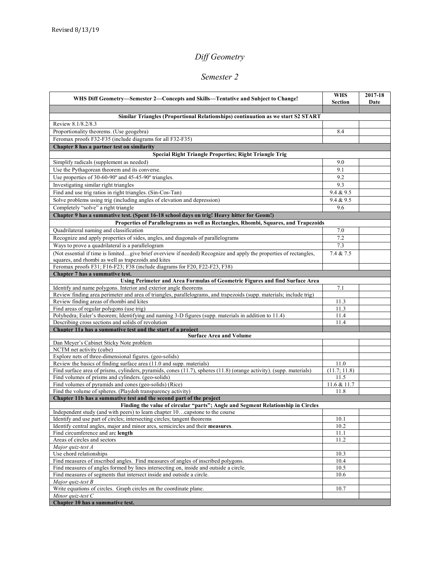# *Diff Geometry*

#### *Semester 2*

| WHS Diff Geometry—Semester 2—Concepts and Skills—Tentative and Subject to Change!                                                                                        | <b>WHS</b><br><b>Section</b> | 2017-18<br>Date |
|--------------------------------------------------------------------------------------------------------------------------------------------------------------------------|------------------------------|-----------------|
|                                                                                                                                                                          |                              |                 |
| Similar Triangles (Proportional Relationships) continuation as we start S2 START<br>Review 8.1/8.2/8.3                                                                   |                              |                 |
|                                                                                                                                                                          |                              |                 |
| Proportionality theorems. (Use geogebra)                                                                                                                                 | 8.4                          |                 |
| Feromax proofs F32-F35 (include diagrams for all F32-F35)<br>Chapter 8 has a partner test on similarity                                                                  |                              |                 |
| <b>Special Right Triangle Properties; Right Triangle Trig</b>                                                                                                            |                              |                 |
|                                                                                                                                                                          |                              |                 |
| Simplify radicals (supplement as needed)<br>Use the Pythagorean theorem and its converse.                                                                                | 9.0<br>9.1                   |                 |
| Use properties of 30-60-90° and 45-45-90° triangles.                                                                                                                     | 9.2                          |                 |
| Investigating similar right triangles                                                                                                                                    | 9.3                          |                 |
|                                                                                                                                                                          | 9.4 & 9.5                    |                 |
| Find and use trig ratios in right triangles. (Sin-Cos-Tan)                                                                                                               | 9.4 & 9.5                    |                 |
| Solve problems using trig (including angles of elevation and depression)                                                                                                 |                              |                 |
| Completely "solve" a right triangle                                                                                                                                      | 9.6                          |                 |
| Chapter 9 has a summative test. (Spent 16-18 school days on trig! Heavy hitter for Geom!)                                                                                |                              |                 |
| Properties of Parallelograms as well as Rectangles, Rhombi, Squares, and Trapezoids                                                                                      | 7.0                          |                 |
| Quadrilateral naming and classification<br>Recognize and apply properties of sides, angles, and diagonals of parallelograms                                              | 7.2                          |                 |
| Ways to prove a quadrilateral is a parallelogram                                                                                                                         | 7.3                          |                 |
|                                                                                                                                                                          |                              |                 |
| (Not essential if time is limitedgive brief overview if needed) Recognize and apply the properties of rectangles,<br>squares, and rhombi as well as trapezoids and kites | 7.4 & 7.5                    |                 |
| Feromax proofs F31; F16-F23; F38 (include diagrams for F20, F22-F23, F38)                                                                                                |                              |                 |
| Chapter 7 has a summative test.                                                                                                                                          |                              |                 |
| Using Perimeter and Area Formulas of Geometric Figures and find Surface Area                                                                                             |                              |                 |
| Identify and name polygons. Interior and exterior angle theorems                                                                                                         | 7.1                          |                 |
| Review finding area perimeter and area of triangles, parallelograms, and trapezoids (supp. materials; include trig)                                                      |                              |                 |
| Review finding areas of rhombi and kites                                                                                                                                 | 11.3                         |                 |
| Find areas of regular polygons (use trig)                                                                                                                                | 11.3                         |                 |
| Polyhedra; Euler's theorem; Identifying and naming 3-D figures (supp. materials in addition to 11.4)                                                                     | 11.4                         |                 |
| Describing cross sections and solids of revolution                                                                                                                       | 11.4                         |                 |
| Chapter 11a has a summative test and the start of a project<br><b>Surface Area and Volume</b>                                                                            |                              |                 |
| Dan Meyer's Cabinet Sticky Note problem                                                                                                                                  |                              |                 |
| NCTM net activity (cube)                                                                                                                                                 |                              |                 |
| Explore nets of three-dimensional figures. (geo-solids)                                                                                                                  |                              |                 |
| Review the basics of finding surface area (11.0 and supp. materials)                                                                                                     | 11.0                         |                 |
| Find surface area of prisms, cylinders, pyramids, cones (11.7), spheres (11.8) (orange activity). (supp. materials)                                                      | (11.7; 11.8)                 |                 |
| Find volumes of prisms and cylinders. (geo-solids)                                                                                                                       | 11.5                         |                 |
| Find volumes of pyramids and cones (geo-solids) (Rice)                                                                                                                   | 11.6 & 11.7                  |                 |
| Find the volume of spheres. (Playdoh transparency activity)                                                                                                              | 11.8                         |                 |
| Chapter 11b has a summative test and the second part of the project                                                                                                      |                              |                 |
| Finding the value of circular "parts"; Angle and Segment Relationship in Circles                                                                                         |                              |                 |
| Independent study (and with peers) to learn chapter 10capstone to the course<br>Identify and use part of circles; intersecting circles; tangent theorems                 | 10.1                         |                 |
| Identify central angles, major and minor arcs, semicircles and their measures.                                                                                           | 10.2                         |                 |
| Find circumference and arc length                                                                                                                                        | 11.1                         |                 |
| Areas of circles and sectors                                                                                                                                             | 11.2                         |                 |
| Major quiz-test A                                                                                                                                                        |                              |                 |
| Use chord relationships                                                                                                                                                  | 10.3                         |                 |
| Find measures of inscribed angles. Find measures of angles of inscribed polygons.                                                                                        | 10.4                         |                 |
| Find measures of angles formed by lines intersecting on, inside and outside a circle.                                                                                    | 10.5                         |                 |
| Find measures of segments that intersect inside and outside a circle.                                                                                                    | 10.6                         |                 |
| Major quiz-test B                                                                                                                                                        |                              |                 |
| Write equations of circles. Graph circles on the coordinate plane.                                                                                                       | 10.7                         |                 |
| Minor quiz-test C                                                                                                                                                        |                              |                 |
| Chapter 10 has a summative test.                                                                                                                                         |                              |                 |